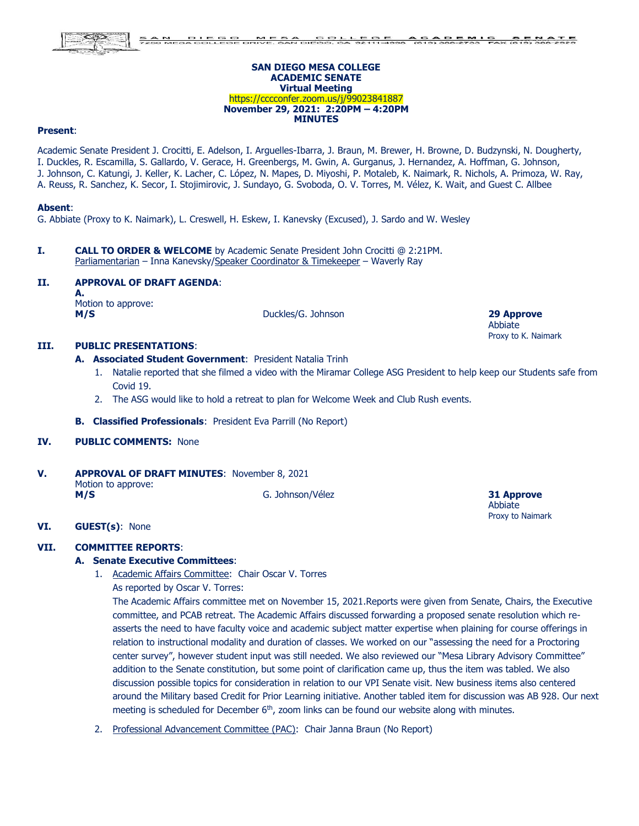#### **SAN DIEGO MESA COLLEGE ACADEMIC SENATE Virtual Meeting** https://cccconfer.zoom.us/j/99023841887 **November 29, 2021: 2:20PM – 4:20PM MINUTES**

#### **Present**:

Academic Senate President J. Crocitti, E. Adelson, I. Arguelles-Ibarra, J. Braun, M. Brewer, H. Browne, D. Budzynski, N. Dougherty, I. Duckles, R. Escamilla, S. Gallardo, V. Gerace, H. Greenbergs, M. Gwin, A. Gurganus, J. Hernandez, A. Hoffman, G. Johnson, J. Johnson, C. Katungi, J. Keller, K. Lacher, C. López, N. Mapes, D. Miyoshi, P. Motaleb, K. Naimark, R. Nichols, A. Primoza, W. Ray, A. Reuss, R. Sanchez, K. Secor, I. Stojimirovic, J. Sundayo, G. Svoboda, O. V. Torres, M. Vélez, K. Wait, and Guest C. Allbee

### **Absent**:

G. Abbiate (Proxy to K. Naimark), L. Creswell, H. Eskew, I. Kanevsky (Excused), J. Sardo and W. Wesley

**I. CALL TO ORDER & WELCOME** by Academic Senate President John Crocitti @ 2:21PM. Parliamentarian – Inna Kanevsky/Speaker Coordinator & Timekeeper – Waverly Ray

#### **II. APPROVAL OF DRAFT AGENDA**:

**A.**

Motion to approve:

**M/S** Duckles/G. Johnson **29 Approve**

Abbiate Proxy to K. Naimark

# **III. PUBLIC PRESENTATIONS**:

### **A. Associated Student Government**: President Natalia Trinh

- 1. Natalie reported that she filmed a video with the Miramar College ASG President to help keep our Students safe from Covid 19.
- 2. The ASG would like to hold a retreat to plan for Welcome Week and Club Rush events.
- **B. Classified Professionals**: President Eva Parrill (No Report)
- **IV. PUBLIC COMMENTS:** None
- **V. APPROVAL OF DRAFT MINUTES**: November 8, 2021 Motion to approve: **M/S** G. Johnson/Vélez **31 Approve**

Abbiate Proxy to Naimark

#### **VI. GUEST(s)**: None

#### **VII. COMMITTEE REPORTS**:

#### **A. Senate Executive Committees**:

- 1. Academic Affairs Committee: Chair Oscar V. Torres
	- As reported by Oscar V. Torres:

The Academic Affairs committee met on November 15, 2021.Reports were given from Senate, Chairs, the Executive committee, and PCAB retreat. The Academic Affairs discussed forwarding a proposed senate resolution which reasserts the need to have faculty voice and academic subject matter expertise when plaining for course offerings in relation to instructional modality and duration of classes. We worked on our "assessing the need for a Proctoring center survey", however student input was still needed. We also reviewed our "Mesa Library Advisory Committee" addition to the Senate constitution, but some point of clarification came up, thus the item was tabled. We also discussion possible topics for consideration in relation to our VPI Senate visit. New business items also centered around the Military based Credit for Prior Learning initiative. Another tabled item for discussion was AB 928. Our next meeting is scheduled for December  $6<sup>th</sup>$ , zoom links can be found our website along with minutes.

2. Professional Advancement Committee (PAC): Chair Janna Braun (No Report)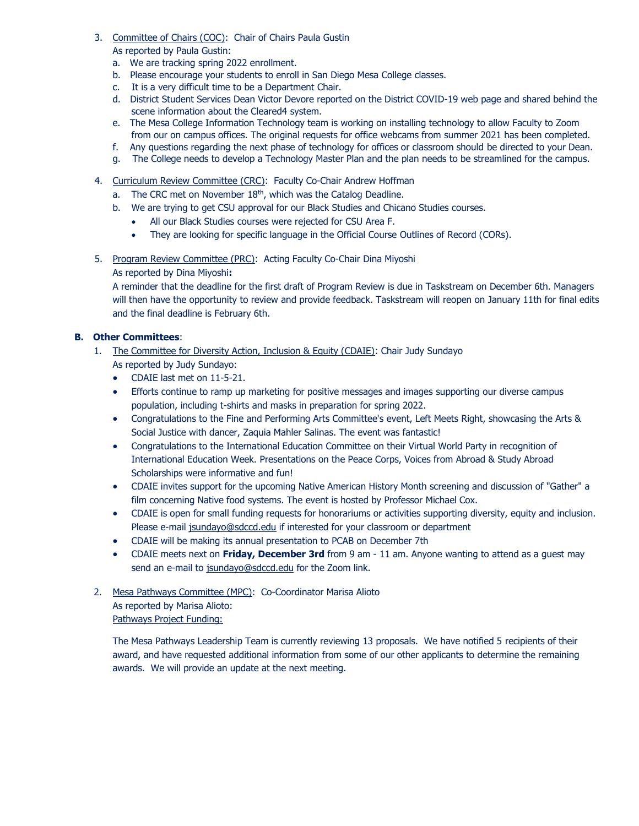- 3. Committee of Chairs (COC): Chair of Chairs Paula Gustin As reported by Paula Gustin:
	- a. We are tracking spring 2022 enrollment.
	- b. Please encourage your students to enroll in San Diego Mesa College classes.
	- c. It is a very difficult time to be a Department Chair.
	- d. District Student Services Dean Victor Devore reported on the District COVID-19 web page and shared behind the scene information about the Cleared4 system.
	- e. The Mesa College Information Technology team is working on installing technology to allow Faculty to Zoom from our on campus offices. The original requests for office webcams from summer 2021 has been completed.
	- f. Any questions regarding the next phase of technology for offices or classroom should be directed to your Dean.
	- g. The College needs to develop a Technology Master Plan and the plan needs to be streamlined for the campus.
- 4. Curriculum Review Committee (CRC): Faculty Co-Chair Andrew Hoffman
	- a. The CRC met on November 18<sup>th</sup>, which was the Catalog Deadline.
	- b. We are trying to get CSU approval for our Black Studies and Chicano Studies courses.
		- All our Black Studies courses were rejected for CSU Area F.
		- They are looking for specific language in the Official Course Outlines of Record (CORs).

5. Program Review Committee (PRC): Acting Faculty Co-Chair Dina Miyoshi

As reported by Dina Miyoshi**:**

A reminder that the deadline for the first draft of Program Review is due in Taskstream on December 6th. Managers will then have the opportunity to review and provide feedback. Taskstream will reopen on January 11th for final edits and the final deadline is February 6th.

# **B. Other Committees**:

- 1. The Committee for Diversity Action, Inclusion & Equity (CDAIE): Chair Judy Sundayo As reported by Judy Sundayo:
	- CDAIE last met on 11-5-21.
	- Efforts continue to ramp up marketing for positive messages and images supporting our diverse campus population, including t-shirts and masks in preparation for spring 2022.
	- Congratulations to the Fine and Performing Arts Committee's event, Left Meets Right, showcasing the Arts & Social Justice with dancer, Zaquia Mahler Salinas. The event was fantastic!
	- Congratulations to the International Education Committee on their Virtual World Party in recognition of International Education Week. Presentations on the Peace Corps, Voices from Abroad & Study Abroad Scholarships were informative and fun!
	- CDAIE invites support for the upcoming Native American History Month screening and discussion of "Gather" a film concerning Native food systems. The event is hosted by Professor Michael Cox.
	- CDAIE is open for small funding requests for honorariums or activities supporting diversity, equity and inclusion. Please e-mail [jsundayo@sdccd.edu](mailto:jsundayo@sdccd.edu) if interested for your classroom or department
	- CDAIE will be making its annual presentation to PCAB on December 7th
	- CDAIE meets next on **Friday, December 3rd** from 9 am 11 am. Anyone wanting to attend as a guest may send an e-mail to [jsundayo@sdccd.edu](mailto:jsundayo@sdccd.edu) for the Zoom link.

# 2. Mesa Pathways Committee (MPC): Co-Coordinator Marisa Alioto As reported by Marisa Alioto:

Pathways Project Funding:

The Mesa Pathways Leadership Team is currently reviewing 13 proposals. We have notified 5 recipients of their award, and have requested additional information from some of our other applicants to determine the remaining awards. We will provide an update at the next meeting.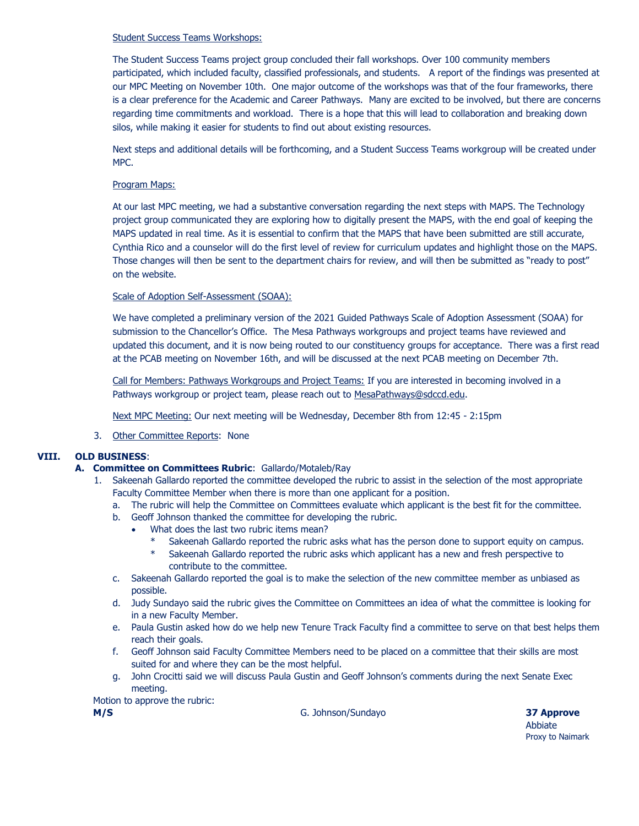## Student Success Teams Workshops:

The Student Success Teams project group concluded their fall workshops. Over 100 community members participated, which included faculty, classified professionals, and students. A report of the findings was presented at our MPC Meeting on November 10th. One major outcome of the workshops was that of the four frameworks, there is a clear preference for the Academic and Career Pathways. Many are excited to be involved, but there are concerns regarding time commitments and workload. There is a hope that this will lead to collaboration and breaking down silos, while making it easier for students to find out about existing resources.

Next steps and additional details will be forthcoming, and a Student Success Teams workgroup will be created under MPC.

# Program Maps:

At our last MPC meeting, we had a substantive conversation regarding the next steps with MAPS. The Technology project group communicated they are exploring how to digitally present the MAPS, with the end goal of keeping the MAPS updated in real time. As it is essential to confirm that the MAPS that have been submitted are still accurate, Cynthia Rico and a counselor will do the first level of review for curriculum updates and highlight those on the MAPS. Those changes will then be sent to the department chairs for review, and will then be submitted as "ready to post" on the website.

## Scale of Adoption Self-Assessment (SOAA):

We have completed a preliminary version of the 2021 Guided Pathways Scale of Adoption Assessment (SOAA) for submission to the Chancellor's Office. The Mesa Pathways workgroups and project teams have reviewed and updated this document, and it is now being routed to our constituency groups for acceptance. There was a first read at the PCAB meeting on November 16th, and will be discussed at the next PCAB meeting on December 7th.

Call for Members: Pathways Workgroups and Project Teams: If you are interested in becoming involved in a Pathways workgroup or project team, please reach out to [MesaPathways@sdccd.edu.](mailto:MesaPathways@sdccd.edu)

Next MPC Meeting: Our next meeting will be Wednesday, December 8th from 12:45 - 2:15pm

3. Other Committee Reports: None

# **VIII. OLD BUSINESS**:

# **A. Committee on Committees Rubric**: Gallardo/Motaleb/Ray

- 1. Sakeenah Gallardo reported the committee developed the rubric to assist in the selection of the most appropriate Faculty Committee Member when there is more than one applicant for a position.
	- a. The rubric will help the Committee on Committees evaluate which applicant is the best fit for the committee.
	- b. Geoff Johnson thanked the committee for developing the rubric.
		- What does the last two rubric items mean?
			- Sakeenah Gallardo reported the rubric asks what has the person done to support equity on campus.
			- \* Sakeenah Gallardo reported the rubric asks which applicant has a new and fresh perspective to contribute to the committee.
	- c. Sakeenah Gallardo reported the goal is to make the selection of the new committee member as unbiased as possible.
	- d. Judy Sundayo said the rubric gives the Committee on Committees an idea of what the committee is looking for in a new Faculty Member.
	- e. Paula Gustin asked how do we help new Tenure Track Faculty find a committee to serve on that best helps them reach their goals.
	- f. Geoff Johnson said Faculty Committee Members need to be placed on a committee that their skills are most suited for and where they can be the most helpful.
	- g. John Crocitti said we will discuss Paula Gustin and Geoff Johnson's comments during the next Senate Exec meeting.

### Motion to approve the rubric:

**M/S** G. Johnson/Sundayo **37 Approve**

Abbiate Proxy to Naimark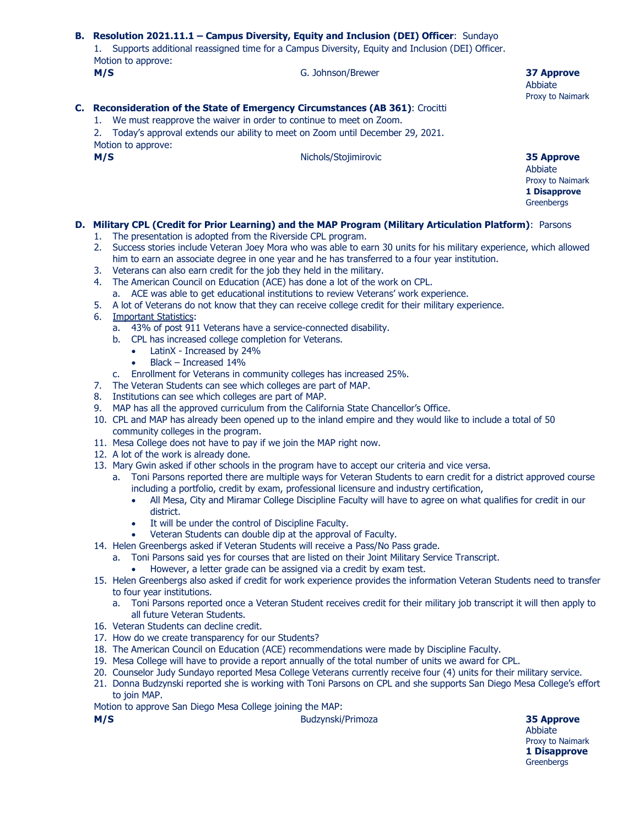|  | B. Resolution 2021.11.1 - Campus Diversity, Equity and Inclusion (DEI) Officer: Sundayo<br>1. Supports additional reassigned time for a Campus Diversity, Equity and Inclusion (DEI) Officer.<br>Motion to approve: |  |  |
|--|---------------------------------------------------------------------------------------------------------------------------------------------------------------------------------------------------------------------|--|--|
|  |                                                                                                                                                                                                                     |  |  |
|  |                                                                                                                                                                                                                     |  |  |

# **C. Reconsideration of the State of Emergency Circumstances (AB 361)**: Crocitti

1. We must reapprove the waiver in order to continue to meet on Zoom.

2. Today's approval extends our ability to meet on Zoom until December 29, 2021. Motion to approve:

**M/S** Nichols/Stojimirovic **35 Approve**

Abbiate

Abbiate Proxy to Naimark

Proxy to Naimark **1 Disapprove Greenbergs** 

# **D. Military CPL (Credit for Prior Learning) and the MAP Program (Military Articulation Platform)**: Parsons

- 1. The presentation is adopted from the Riverside CPL program.
- 2. Success stories include Veteran Joey Mora who was able to earn 30 units for his military experience, which allowed him to earn an associate degree in one year and he has transferred to a four year institution.
- 3. Veterans can also earn credit for the job they held in the military.
- 4. The American Council on Education (ACE) has done a lot of the work on CPL.
	- a. ACE was able to get educational institutions to review Veterans' work experience.
- 5. A lot of Veterans do not know that they can receive college credit for their military experience.
- 6. Important Statistics:
	- a. 43% of post 911 Veterans have a service-connected disability.
	- b. CPL has increased college completion for Veterans.
		- LatinX Increased by 24%
		- Black Increased 14%
	- c. Enrollment for Veterans in community colleges has increased 25%.
- 7. The Veteran Students can see which colleges are part of MAP.
- 8. Institutions can see which colleges are part of MAP.
- 9. MAP has all the approved curriculum from the California State Chancellor's Office.
- 10. CPL and MAP has already been opened up to the inland empire and they would like to include a total of 50 community colleges in the program.
- 11. Mesa College does not have to pay if we join the MAP right now.
- 12. A lot of the work is already done.
- 13. Mary Gwin asked if other schools in the program have to accept our criteria and vice versa.
	- a. Toni Parsons reported there are multiple ways for Veteran Students to earn credit for a district approved course including a portfolio, credit by exam, professional licensure and industry certification,
		- All Mesa, City and Miramar College Discipline Faculty will have to agree on what qualifies for credit in our district.
		- It will be under the control of Discipline Faculty.
		- Veteran Students can double dip at the approval of Faculty.
- 14. Helen Greenbergs asked if Veteran Students will receive a Pass/No Pass grade.
	- a. Toni Parsons said yes for courses that are listed on their Joint Military Service Transcript.
		- However, a letter grade can be assigned via a credit by exam test.
- 15. Helen Greenbergs also asked if credit for work experience provides the information Veteran Students need to transfer to four year institutions.
	- a. Toni Parsons reported once a Veteran Student receives credit for their military job transcript it will then apply to all future Veteran Students.
- 16. Veteran Students can decline credit.
- 17. How do we create transparency for our Students?
- 18. The American Council on Education (ACE) recommendations were made by Discipline Faculty.
- 19. Mesa College will have to provide a report annually of the total number of units we award for CPL.
- 20. Counselor Judy Sundayo reported Mesa College Veterans currently receive four (4) units for their military service.
- 21. Donna Budzynski reported she is working with Toni Parsons on CPL and she supports San Diego Mesa College's effort to join MAP.
- Motion to approve San Diego Mesa College joining the MAP:

**M/S** Budzynski/Primoza **35 Approve**

**Abbiate** Proxy to Naimark **1 Disapprove Greenbergs**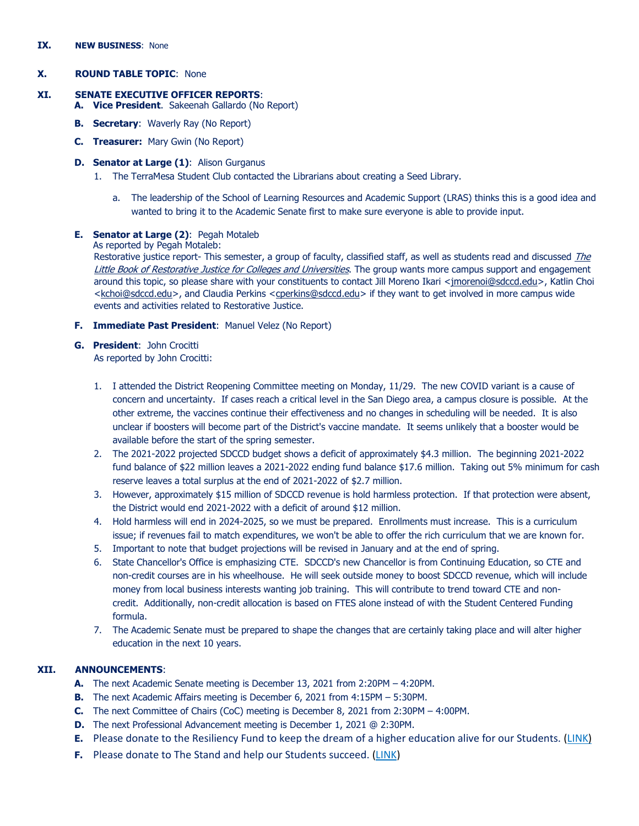#### **IX. NEW BUSINESS**: None

# **X. ROUND TABLE TOPIC**: None

## **XI. SENATE EXECUTIVE OFFICER REPORTS**:

- **A. Vice President**. Sakeenah Gallardo (No Report)
- **B. Secretary**: Waverly Ray (No Report)
- **C. Treasurer:** Mary Gwin (No Report)

## **D. Senator at Large (1)**: Alison Gurganus

- 1. The TerraMesa Student Club contacted the Librarians about creating a Seed Library.
	- a. The leadership of the School of Learning Resources and Academic Support (LRAS) thinks this is a good idea and wanted to bring it to the Academic Senate first to make sure everyone is able to provide input.

## **E. Senator at Large (2)**: Pegah Motaleb

## As reported by Pegah Motaleb:

Restorative justice report- This semester, a group of faculty, classified staff, as well as students read and discussed *The* [Little Book of Restorative Justice for Colleges and Universities](https://www.simonandschuster.com/books/The-Little-Book-of-Restorative-Justice-for-Colleges-and-Universities-Second-Edition/David-R-Karp/Justice-and-Peacebuilding/9781680994681). The group wants more campus support and engagement around this topic, so please share with your constituents to contact Jill Moreno Ikari [<jmorenoi@sdccd.edu>](mailto:jmorenoi@sdccd.edu), Katlin Choi [<kchoi@sdccd.edu>](mailto:kchoi@sdccd.edu), and Claudia Perkins [<cperkins@sdccd.edu>](mailto:cperkins@sdccd.edu) if they want to get involved in more campus wide events and activities related to Restorative Justice.

- **F. Immediate Past President**: Manuel Velez (No Report)
- **G. President**: John Crocitti As reported by John Crocitti:
	- 1. I attended the District Reopening Committee meeting on Monday, 11/29. The new COVID variant is a cause of concern and uncertainty. If cases reach a critical level in the San Diego area, a campus closure is possible. At the other extreme, the vaccines continue their effectiveness and no changes in scheduling will be needed. It is also unclear if boosters will become part of the District's vaccine mandate. It seems unlikely that a booster would be available before the start of the spring semester.
	- 2. The 2021-2022 projected SDCCD budget shows a deficit of approximately \$4.3 million. The beginning 2021-2022 fund balance of \$22 million leaves a 2021-2022 ending fund balance \$17.6 million. Taking out 5% minimum for cash reserve leaves a total surplus at the end of 2021-2022 of \$2.7 million.
	- 3. However, approximately \$15 million of SDCCD revenue is hold harmless protection. If that protection were absent, the District would end 2021-2022 with a deficit of around \$12 million.
	- 4. Hold harmless will end in 2024-2025, so we must be prepared. Enrollments must increase. This is a curriculum issue; if revenues fail to match expenditures, we won't be able to offer the rich curriculum that we are known for.
	- 5. Important to note that budget projections will be revised in January and at the end of spring.
	- 6. State Chancellor's Office is emphasizing CTE. SDCCD's new Chancellor is from Continuing Education, so CTE and non-credit courses are in his wheelhouse. He will seek outside money to boost SDCCD revenue, which will include money from local business interests wanting job training. This will contribute to trend toward CTE and noncredit. Additionally, non-credit allocation is based on FTES alone instead of with the Student Centered Funding formula.
	- 7. The Academic Senate must be prepared to shape the changes that are certainly taking place and will alter higher education in the next 10 years.

# **XII. ANNOUNCEMENTS**:

- **A.** The next Academic Senate meeting is December 13, 2021 from 2:20PM 4:20PM.
- **B.** The next Academic Affairs meeting is December 6, 2021 from 4:15PM 5:30PM.
- **C.** The next Committee of Chairs (CoC) meeting is December 8, 2021 from 2:30PM 4:00PM.
- **D.** The next Professional Advancement meeting is December 1, 2021 @ 2:30PM.
- **E.** Please donate to the Resiliency Fund to keep the dream of a higher education alive for our Students. [\(LINK\)](https://www.sdmesa.edu/about-mesa/mesa-foundation/ResiliencyFund.shtml)
- **F.** Please donate to The Stand and help our Students succeed. [\(LINK\)](https://www.sdmesa.edu/student-services/student-success-equity/the-stand.shtml)